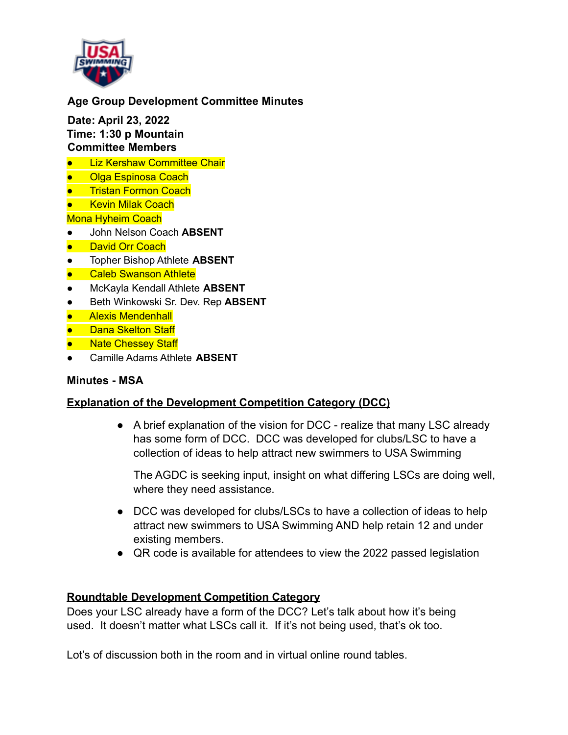

# **Age Group Development Committee Minutes**

**Date: April 23, 2022 Time: 1:30 p Mountain Committee Members**

- Liz Kershaw Committee Chair
- Olga Espinosa Coach
- **Tristan Formon Coach**
- **Kevin Milak Coach**

Mona Hyheim Coach

- John Nelson Coach **ABSENT**
- David Orr Coach
- Topher Bishop Athlete **ABSENT**
- Caleb Swanson Athlete
- McKayla Kendall Athlete **ABSENT**
- Beth Winkowski Sr. Dev. Rep **ABSENT**
- Alexis Mendenhall
- Dana Skelton Staff
- Nate Chessey Staff
- Camille Adams Athlete **ABSENT**

#### **Minutes - MSA**

### **Explanation of the Development Competition Category (DCC)**

• A brief explanation of the vision for DCC - realize that many LSC already has some form of DCC. DCC was developed for clubs/LSC to have a collection of ideas to help attract new swimmers to USA Swimming

The AGDC is seeking input, insight on what differing LSCs are doing well, where they need assistance.

- DCC was developed for clubs/LSCs to have a collection of ideas to help attract new swimmers to USA Swimming AND help retain 12 and under existing members.
- QR code is available for attendees to view the 2022 passed legislation

### **Roundtable Development Competition Category**

Does your LSC already have a form of the DCC? Let's talk about how it's being used. It doesn't matter what LSCs call it. If it's not being used, that's ok too.

Lot's of discussion both in the room and in virtual online round tables.